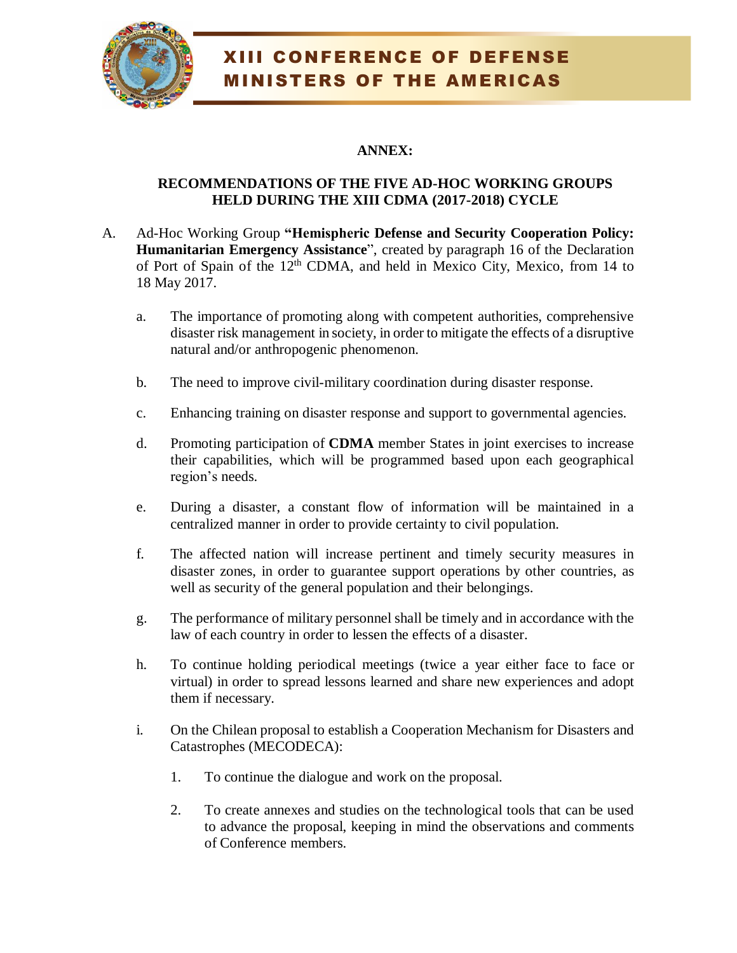

## XIII CONFERENCE OF DEFENSE MINISTERS OF THE AMERICAS

### **ANNEX:**

#### **RECOMMENDATIONS OF THE FIVE AD-HOC WORKING GROUPS HELD DURING THE XIII CDMA (2017-2018) CYCLE**

- A. Ad-Hoc Working Group **"Hemispheric Defense and Security Cooperation Policy: Humanitarian Emergency Assistance**", created by paragraph 16 of the Declaration of Port of Spain of the 12<sup>th</sup> CDMA, and held in Mexico City, Mexico, from 14 to 18 May 2017.
	- a. The importance of promoting along with competent authorities, comprehensive disaster risk management in society, in order to mitigate the effects of a disruptive natural and/or anthropogenic phenomenon.
	- b. The need to improve civil-military coordination during disaster response.
	- c. Enhancing training on disaster response and support to governmental agencies.
	- d. Promoting participation of **CDMA** member States in joint exercises to increase their capabilities, which will be programmed based upon each geographical region's needs.
	- e. During a disaster, a constant flow of information will be maintained in a centralized manner in order to provide certainty to civil population.
	- f. The affected nation will increase pertinent and timely security measures in disaster zones, in order to guarantee support operations by other countries, as well as security of the general population and their belongings.
	- g. The performance of military personnel shall be timely and in accordance with the law of each country in order to lessen the effects of a disaster.
	- h. To continue holding periodical meetings (twice a year either face to face or virtual) in order to spread lessons learned and share new experiences and adopt them if necessary.
	- i. On the Chilean proposal to establish a Cooperation Mechanism for Disasters and Catastrophes (MECODECA):
		- 1. To continue the dialogue and work on the proposal.
		- 2. To create annexes and studies on the technological tools that can be used to advance the proposal, keeping in mind the observations and comments of Conference members.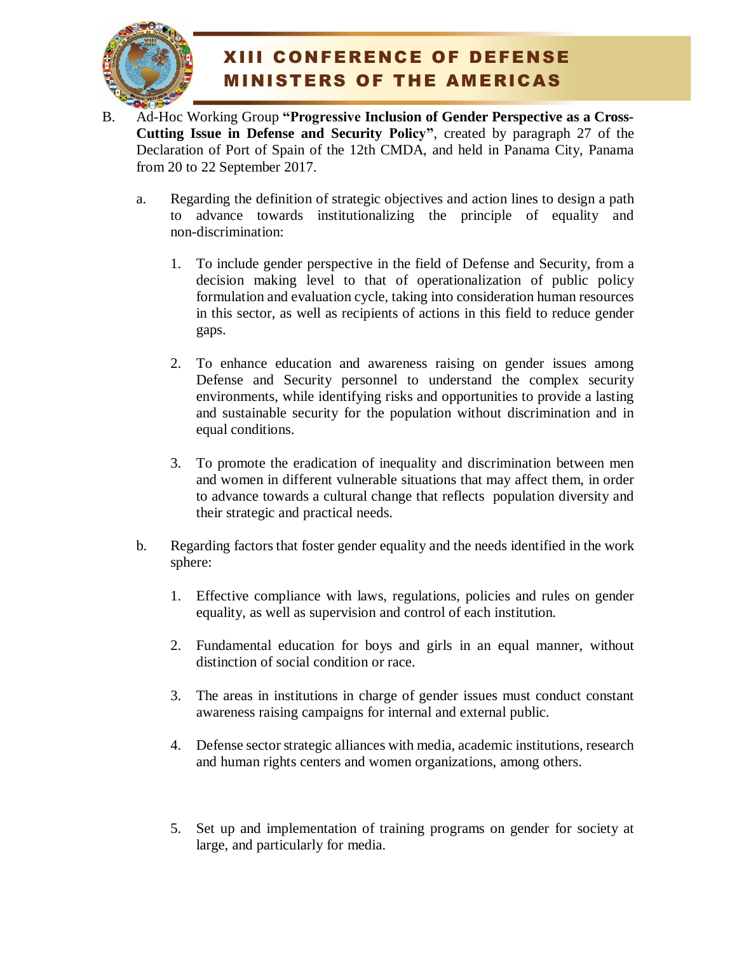

# XIII CONFERENCE OF DEFENSE MINISTERS OF THE AMERICAS

- B. Ad-Hoc Working Group **"Progressive Inclusion of Gender Perspective as a Cross-Cutting Issue in Defense and Security Policy"**, created by paragraph 27 of the Declaration of Port of Spain of the 12th CMDA, and held in Panama City, Panama from 20 to 22 September 2017.
	- a. Regarding the definition of strategic objectives and action lines to design a path to advance towards institutionalizing the principle of equality and non-discrimination:
		- 1. To include gender perspective in the field of Defense and Security, from a decision making level to that of operationalization of public policy formulation and evaluation cycle, taking into consideration human resources in this sector, as well as recipients of actions in this field to reduce gender gaps.
		- 2. To enhance education and awareness raising on gender issues among Defense and Security personnel to understand the complex security environments, while identifying risks and opportunities to provide a lasting and sustainable security for the population without discrimination and in equal conditions.
		- 3. To promote the eradication of inequality and discrimination between men and women in different vulnerable situations that may affect them, in order to advance towards a cultural change that reflects population diversity and their strategic and practical needs.
	- b. Regarding factors that foster gender equality and the needs identified in the work sphere:
		- 1. Effective compliance with laws, regulations, policies and rules on gender equality, as well as supervision and control of each institution.
		- 2. Fundamental education for boys and girls in an equal manner, without distinction of social condition or race.
		- 3. The areas in institutions in charge of gender issues must conduct constant awareness raising campaigns for internal and external public.
		- 4. Defense sector strategic alliances with media, academic institutions, research and human rights centers and women organizations, among others.
		- 5. Set up and implementation of training programs on gender for society at large, and particularly for media.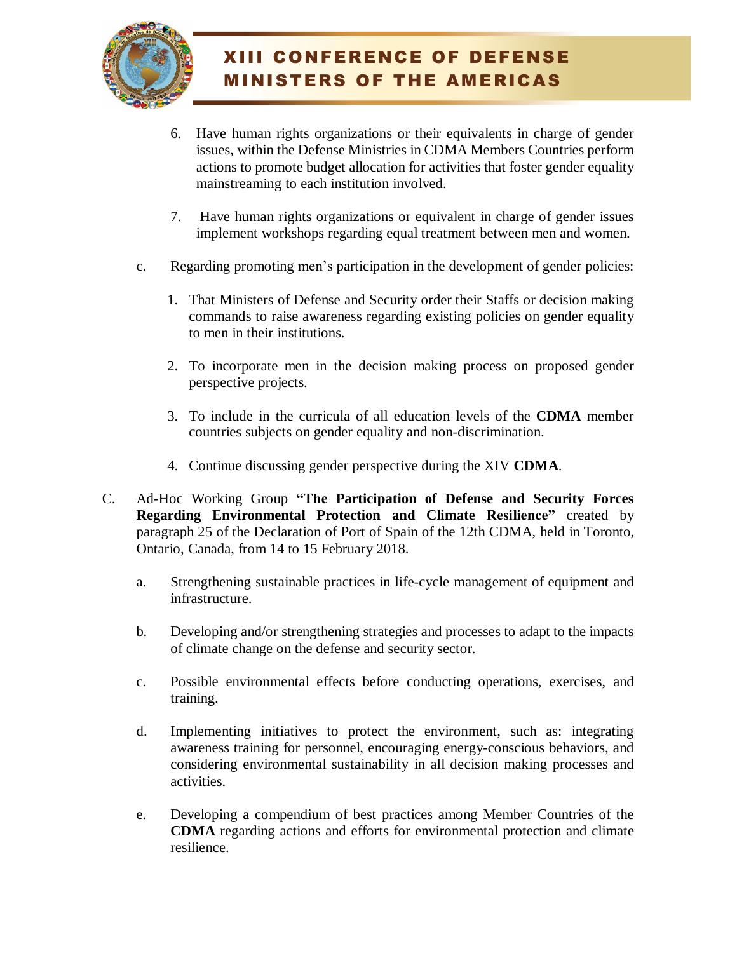

- 6. Have human rights organizations or their equivalents in charge of gender issues, within the Defense Ministries in CDMA Members Countries perform actions to promote budget allocation for activities that foster gender equality mainstreaming to each institution involved.
- 7. Have human rights organizations or equivalent in charge of gender issues implement workshops regarding equal treatment between men and women.
- c. Regarding promoting men's participation in the development of gender policies:
	- 1. That Ministers of Defense and Security order their Staffs or decision making commands to raise awareness regarding existing policies on gender equality to men in their institutions.
	- 2. To incorporate men in the decision making process on proposed gender perspective projects.
	- 3. To include in the curricula of all education levels of the **CDMA** member countries subjects on gender equality and non-discrimination.
	- 4. Continue discussing gender perspective during the XIV **CDMA**.
- C. Ad-Hoc Working Group **"The Participation of Defense and Security Forces Regarding Environmental Protection and Climate Resilience"** created by paragraph 25 of the Declaration of Port of Spain of the 12th CDMA, held in Toronto, Ontario, Canada, from 14 to 15 February 2018.
	- a. Strengthening sustainable practices in life-cycle management of equipment and infrastructure.
	- b. Developing and/or strengthening strategies and processes to adapt to the impacts of climate change on the defense and security sector.
	- c. Possible environmental effects before conducting operations, exercises, and training.
	- d. Implementing initiatives to protect the environment, such as: integrating awareness training for personnel, encouraging energy-conscious behaviors, and considering environmental sustainability in all decision making processes and activities.
	- e. Developing a compendium of best practices among Member Countries of the **CDMA** regarding actions and efforts for environmental protection and climate resilience.